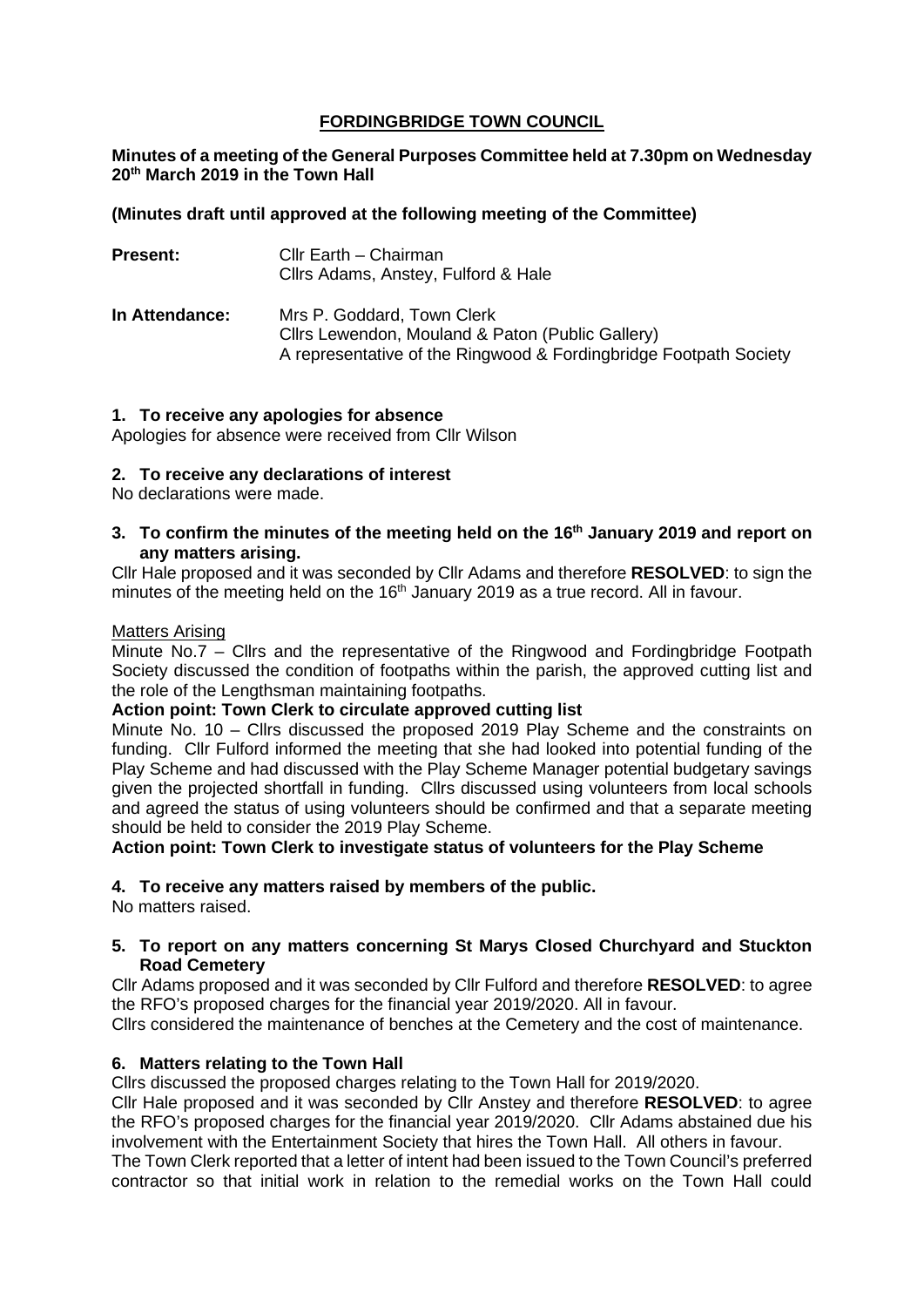## **FORDINGBRIDGE TOWN COUNCIL**

## **Minutes of a meeting of the General Purposes Committee held at 7.30pm on Wednesday 20th March 2019 in the Town Hall**

## **(Minutes draft until approved at the following meeting of the Committee)**

| <b>Present:</b> | Cllr Earth - Chairman<br>Cllrs Adams, Anstey, Fulford & Hale                                                                                        |
|-----------------|-----------------------------------------------------------------------------------------------------------------------------------------------------|
| In Attendance:  | Mrs P. Goddard, Town Clerk<br>Cllrs Lewendon, Mouland & Paton (Public Gallery)<br>A representative of the Ringwood & Fordingbridge Footpath Society |

### **1. To receive any apologies for absence**

Apologies for absence were received from Cllr Wilson

### **2. To receive any declarations of interest**

No declarations were made.

**3. To confirm the minutes of the meeting held on the 16th January 2019 and report on any matters arising.**

Cllr Hale proposed and it was seconded by Cllr Adams and therefore **RESOLVED**: to sign the minutes of the meeting held on the  $16<sup>th</sup>$  January 2019 as a true record. All in favour.

### Matters Arising

Minute No.7 – Cllrs and the representative of the Ringwood and Fordingbridge Footpath Society discussed the condition of footpaths within the parish, the approved cutting list and the role of the Lengthsman maintaining footpaths.

## **Action point: Town Clerk to circulate approved cutting list**

Minute No. 10 – Cllrs discussed the proposed 2019 Play Scheme and the constraints on funding. Cllr Fulford informed the meeting that she had looked into potential funding of the Play Scheme and had discussed with the Play Scheme Manager potential budgetary savings given the projected shortfall in funding. Cllrs discussed using volunteers from local schools and agreed the status of using volunteers should be confirmed and that a separate meeting should be held to consider the 2019 Play Scheme.

**Action point: Town Clerk to investigate status of volunteers for the Play Scheme**

## **4. To receive any matters raised by members of the public.**

No matters raised.

### **5. To report on any matters concerning St Marys Closed Churchyard and Stuckton Road Cemetery**

Cllr Adams proposed and it was seconded by Cllr Fulford and therefore **RESOLVED**: to agree the RFO's proposed charges for the financial year 2019/2020. All in favour.

Cllrs considered the maintenance of benches at the Cemetery and the cost of maintenance.

## **6. Matters relating to the Town Hall**

Cllrs discussed the proposed charges relating to the Town Hall for 2019/2020.

Cllr Hale proposed and it was seconded by Cllr Anstey and therefore **RESOLVED**: to agree the RFO's proposed charges for the financial year 2019/2020. Cllr Adams abstained due his involvement with the Entertainment Society that hires the Town Hall. All others in favour.

The Town Clerk reported that a letter of intent had been issued to the Town Council's preferred contractor so that initial work in relation to the remedial works on the Town Hall could